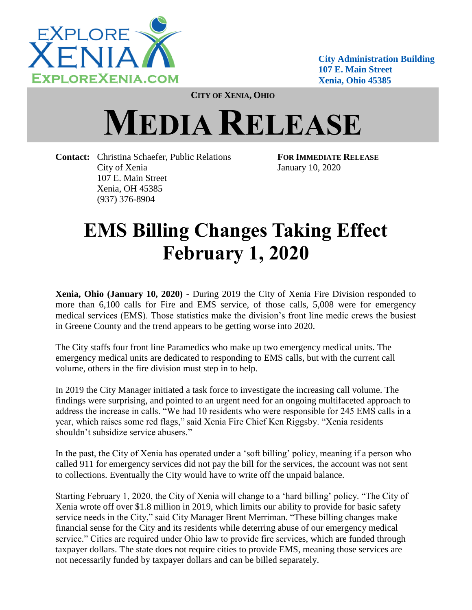

**City Administration Building 107 E. Main Street Xenia, Ohio 45385**

**CITY OF XENIA, OHIO**

## **MEDIA RELEASE**

**Contact:** Christina Schaefer, Public Relations **FOR IMMEDIATE RELEASE** City of Xenia January 10, 2020 107 E. Main Street Xenia, OH 45385 (937) 376-8904

## **EMS Billing Changes Taking Effect February 1, 2020**

**Xenia, Ohio (January 10, 2020) -** During 2019 the City of Xenia Fire Division responded to more than 6,100 calls for Fire and EMS service, of those calls, 5,008 were for emergency medical services (EMS). Those statistics make the division's front line medic crews the busiest in Greene County and the trend appears to be getting worse into 2020.

The City staffs four front line Paramedics who make up two emergency medical units. The emergency medical units are dedicated to responding to EMS calls, but with the current call volume, others in the fire division must step in to help.

In 2019 the City Manager initiated a task force to investigate the increasing call volume. The findings were surprising, and pointed to an urgent need for an ongoing multifaceted approach to address the increase in calls. "We had 10 residents who were responsible for 245 EMS calls in a year, which raises some red flags," said Xenia Fire Chief Ken Riggsby. "Xenia residents shouldn't subsidize service abusers."

In the past, the City of Xenia has operated under a 'soft billing' policy, meaning if a person who called 911 for emergency services did not pay the bill for the services, the account was not sent to collections. Eventually the City would have to write off the unpaid balance.

Starting February 1, 2020, the City of Xenia will change to a 'hard billing' policy. "The City of Xenia wrote off over \$1.8 million in 2019, which limits our ability to provide for basic safety service needs in the City," said City Manager Brent Merriman. "These billing changes make financial sense for the City and its residents while deterring abuse of our emergency medical service." Cities are required under Ohio law to provide fire services, which are funded through taxpayer dollars. The state does not require cities to provide EMS, meaning those services are not necessarily funded by taxpayer dollars and can be billed separately.